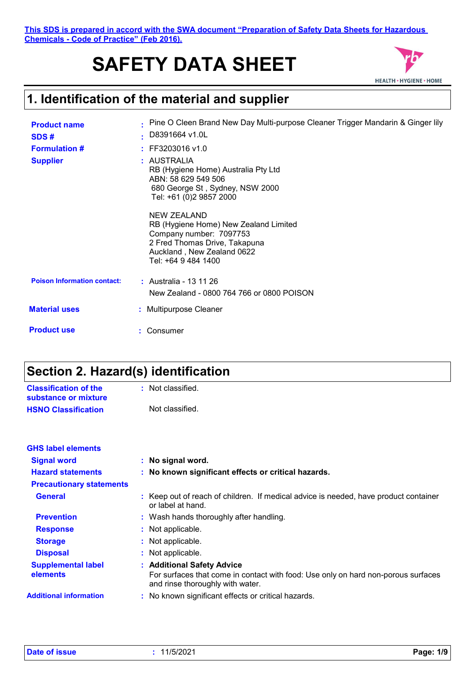**This SDS is prepared in accord with the SWA document "Preparation of Safety Data Sheets for Hazardous Chemicals - Code of Practice" (Feb 2016).**

# **SAFETY DATA SHEET**



## **1. Identification of the material and supplier**

| <b>Product name</b><br>SDS#        | Pine O Cleen Brand New Day Multi-purpose Cleaner Trigger Mandarin & Ginger lily<br>D8391664 v1.0L<br>×.                                                               |
|------------------------------------|-----------------------------------------------------------------------------------------------------------------------------------------------------------------------|
| <b>Formulation #</b>               | $:$ FF3203016 v1.0                                                                                                                                                    |
| <b>Supplier</b>                    | : AUSTRALIA<br>RB (Hygiene Home) Australia Pty Ltd<br>ABN: 58 629 549 506<br>680 George St, Sydney, NSW 2000<br>Tel: +61 (0)2 9857 2000                               |
|                                    | NEW ZEALAND<br>RB (Hygiene Home) New Zealand Limited<br>Company number: 7097753<br>2 Fred Thomas Drive, Takapuna<br>Auckland, New Zealand 0622<br>Tel: +64 9 484 1400 |
| <b>Poison Information contact:</b> | : Australia - 13 11 26<br>New Zealand - 0800 764 766 or 0800 POISON                                                                                                   |
| <b>Material uses</b>               | : Multipurpose Cleaner                                                                                                                                                |
| <b>Product use</b>                 | : Consumer                                                                                                                                                            |

## **Section 2. Hazard(s) identification**

| <b>Classification of the</b><br>substance or mixture | : Not classified. |
|------------------------------------------------------|-------------------|
| <b>HSNO Classification</b>                           | Not classified.   |

| <b>GHS label elements</b>             |                                                                                                                                                     |
|---------------------------------------|-----------------------------------------------------------------------------------------------------------------------------------------------------|
| <b>Signal word</b>                    | : No signal word.                                                                                                                                   |
| <b>Hazard statements</b>              | : No known significant effects or critical hazards.                                                                                                 |
| <b>Precautionary statements</b>       |                                                                                                                                                     |
| <b>General</b>                        | : Keep out of reach of children. If medical advice is needed, have product container<br>or label at hand.                                           |
| <b>Prevention</b>                     | : Wash hands thoroughly after handling.                                                                                                             |
| <b>Response</b>                       | : Not applicable.                                                                                                                                   |
| <b>Storage</b>                        | : Not applicable.                                                                                                                                   |
| <b>Disposal</b>                       | : Not applicable.                                                                                                                                   |
| <b>Supplemental label</b><br>elements | : Additional Safety Advice<br>For surfaces that come in contact with food: Use only on hard non-porous surfaces<br>and rinse thoroughly with water. |
| <b>Additional information</b>         | : No known significant effects or critical hazards.                                                                                                 |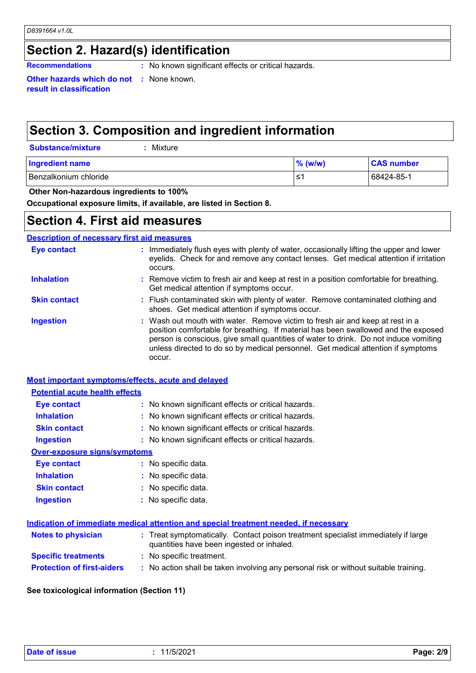## **Section 2. Hazard(s) identification**

**Recommendations :** No known significant effects or critical hazards.

**Other hazards which do not :** None known. **result in classification**

## **Section 3. Composition and ingredient information**

| <b>Substance/mixture</b> | : Mixture |
|--------------------------|-----------|
|--------------------------|-----------|

| <b>Ingredient name</b>  | $%$ (w/w) | <b>CAS number</b> |
|-------------------------|-----------|-------------------|
| l Benzalkonium chloride | '≥        | 68424-85-1        |

### **Other Non-hazardous ingredients to 100%**

**Occupational exposure limits, if available, are listed in Section 8.**

## **Section 4. First aid measures**

### **Description of necessary first aid measures**

| <b>Eye contact</b>  | : Immediately flush eyes with plenty of water, occasionally lifting the upper and lower<br>eyelids. Check for and remove any contact lenses. Get medical attention if irritation<br>occurs.                                                                                                                                                               |
|---------------------|-----------------------------------------------------------------------------------------------------------------------------------------------------------------------------------------------------------------------------------------------------------------------------------------------------------------------------------------------------------|
| <b>Inhalation</b>   | : Remove victim to fresh air and keep at rest in a position comfortable for breathing.<br>Get medical attention if symptoms occur.                                                                                                                                                                                                                        |
| <b>Skin contact</b> | : Flush contaminated skin with plenty of water. Remove contaminated clothing and<br>shoes. Get medical attention if symptoms occur.                                                                                                                                                                                                                       |
| <b>Ingestion</b>    | : Wash out mouth with water. Remove victim to fresh air and keep at rest in a<br>position comfortable for breathing. If material has been swallowed and the exposed<br>person is conscious, give small quantities of water to drink. Do not induce vomiting<br>unless directed to do so by medical personnel. Get medical attention if symptoms<br>occur. |

### **Most important symptoms/effects, acute and delayed**

### **Potential acute health effects**

| Eye contact                  | : No known significant effects or critical hazards. |
|------------------------------|-----------------------------------------------------|
| <b>Inhalation</b>            | : No known significant effects or critical hazards. |
| <b>Skin contact</b>          | : No known significant effects or critical hazards. |
| <b>Ingestion</b>             | : No known significant effects or critical hazards. |
| Over-exposure signs/symptoms |                                                     |
| Eye contact                  | : No specific data.                                 |
| <b>Inhalation</b>            | : No specific data.                                 |
| <b>Skin contact</b>          | : No specific data.                                 |
| <b>Ingestion</b>             | : No specific data.                                 |

### **Indication of immediate medical attention and special treatment needed, if necessary**

| <b>Notes to physician</b>         | : Treat symptomatically. Contact poison treatment specialist immediately if large<br>quantities have been ingested or inhaled. |
|-----------------------------------|--------------------------------------------------------------------------------------------------------------------------------|
| <b>Specific treatments</b>        | : No specific treatment.                                                                                                       |
| <b>Protection of first-aiders</b> | No action shall be taken involving any personal risk or without suitable training.                                             |

### **See toxicological information (Section 11)**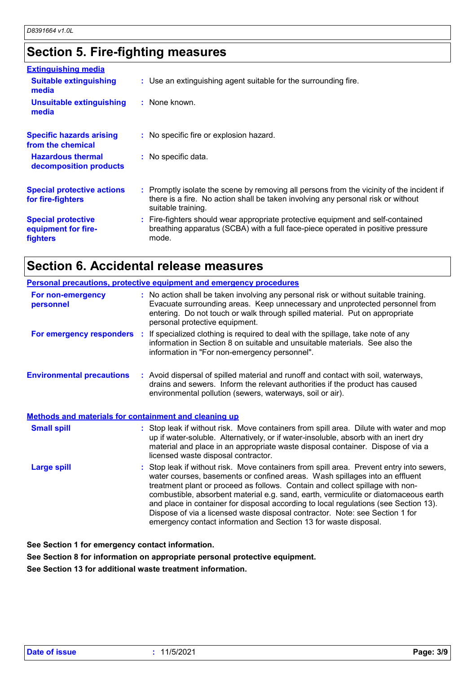## **Section 5. Fire-fighting measures**

| <b>Extinguishing media</b>                                          |                                                                                                                                                                                                     |
|---------------------------------------------------------------------|-----------------------------------------------------------------------------------------------------------------------------------------------------------------------------------------------------|
| <b>Suitable extinguishing</b><br>media                              | : Use an extinguishing agent suitable for the surrounding fire.                                                                                                                                     |
| <b>Unsuitable extinguishing</b><br>media                            | : None known.                                                                                                                                                                                       |
| <b>Specific hazards arising</b><br>from the chemical                | : No specific fire or explosion hazard.                                                                                                                                                             |
| <b>Hazardous thermal</b><br>decomposition products                  | : No specific data.                                                                                                                                                                                 |
| <b>Special protective actions</b><br>for fire-fighters              | : Promptly isolate the scene by removing all persons from the vicinity of the incident if<br>there is a fire. No action shall be taken involving any personal risk or without<br>suitable training. |
| <b>Special protective</b><br>equipment for fire-<br><b>fighters</b> | : Fire-fighters should wear appropriate protective equipment and self-contained<br>breathing apparatus (SCBA) with a full face-piece operated in positive pressure<br>mode.                         |

## **Section 6. Accidental release measures**

| Personal precautions, protective equipment and emergency procedures |                                                                                                                                                                                                                                                                                                                                                                                                                                                                                                                                                                                             |  |  |
|---------------------------------------------------------------------|---------------------------------------------------------------------------------------------------------------------------------------------------------------------------------------------------------------------------------------------------------------------------------------------------------------------------------------------------------------------------------------------------------------------------------------------------------------------------------------------------------------------------------------------------------------------------------------------|--|--|
| For non-emergency<br>personnel                                      | : No action shall be taken involving any personal risk or without suitable training.<br>Evacuate surrounding areas. Keep unnecessary and unprotected personnel from<br>entering. Do not touch or walk through spilled material. Put on appropriate<br>personal protective equipment.                                                                                                                                                                                                                                                                                                        |  |  |
|                                                                     | For emergency responders : If specialized clothing is required to deal with the spillage, take note of any<br>information in Section 8 on suitable and unsuitable materials. See also the<br>information in "For non-emergency personnel".                                                                                                                                                                                                                                                                                                                                                  |  |  |
| <b>Environmental precautions</b>                                    | : Avoid dispersal of spilled material and runoff and contact with soil, waterways,<br>drains and sewers. Inform the relevant authorities if the product has caused<br>environmental pollution (sewers, waterways, soil or air).                                                                                                                                                                                                                                                                                                                                                             |  |  |
| <b>Methods and materials for containment and cleaning up</b>        |                                                                                                                                                                                                                                                                                                                                                                                                                                                                                                                                                                                             |  |  |
| <b>Small spill</b>                                                  | : Stop leak if without risk. Move containers from spill area. Dilute with water and mop<br>up if water-soluble. Alternatively, or if water-insoluble, absorb with an inert dry<br>material and place in an appropriate waste disposal container. Dispose of via a<br>licensed waste disposal contractor.                                                                                                                                                                                                                                                                                    |  |  |
| <b>Large spill</b>                                                  | : Stop leak if without risk. Move containers from spill area. Prevent entry into sewers,<br>water courses, basements or confined areas. Wash spillages into an effluent<br>treatment plant or proceed as follows. Contain and collect spillage with non-<br>combustible, absorbent material e.g. sand, earth, vermiculite or diatomaceous earth<br>and place in container for disposal according to local regulations (see Section 13).<br>Dispose of via a licensed waste disposal contractor. Note: see Section 1 for<br>emergency contact information and Section 13 for waste disposal. |  |  |

**See Section 1 for emergency contact information.**

**See Section 8 for information on appropriate personal protective equipment.**

**See Section 13 for additional waste treatment information.**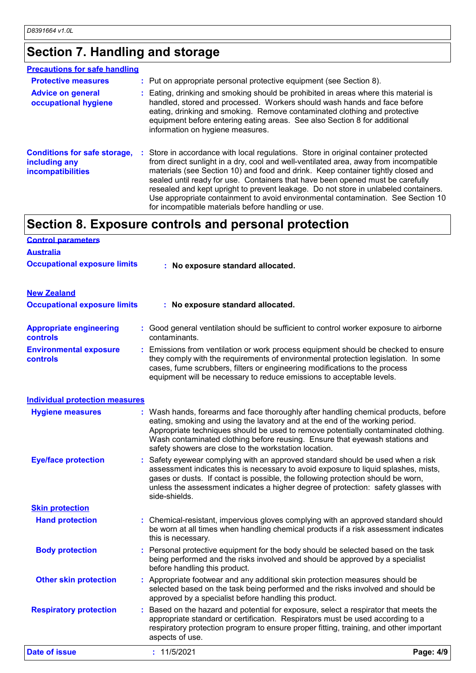## **Section 7. Handling and storage**

| <b>Precautions for safe handling</b>                                             |                                                                                                                                                                                                                                                                                                                                                                                                                                                                                                                                                                                    |
|----------------------------------------------------------------------------------|------------------------------------------------------------------------------------------------------------------------------------------------------------------------------------------------------------------------------------------------------------------------------------------------------------------------------------------------------------------------------------------------------------------------------------------------------------------------------------------------------------------------------------------------------------------------------------|
| <b>Protective measures</b>                                                       | : Put on appropriate personal protective equipment (see Section 8).                                                                                                                                                                                                                                                                                                                                                                                                                                                                                                                |
| <b>Advice on general</b><br>occupational hygiene                                 | : Eating, drinking and smoking should be prohibited in areas where this material is<br>handled, stored and processed. Workers should wash hands and face before<br>eating, drinking and smoking. Remove contaminated clothing and protective<br>equipment before entering eating areas. See also Section 8 for additional<br>information on hygiene measures.                                                                                                                                                                                                                      |
| <b>Conditions for safe storage,</b><br>including any<br><b>incompatibilities</b> | : Store in accordance with local regulations. Store in original container protected<br>from direct sunlight in a dry, cool and well-ventilated area, away from incompatible<br>materials (see Section 10) and food and drink. Keep container tightly closed and<br>sealed until ready for use. Containers that have been opened must be carefully<br>resealed and kept upright to prevent leakage. Do not store in unlabeled containers.<br>Use appropriate containment to avoid environmental contamination. See Section 10<br>for incompatible materials before handling or use. |

## **Section 8. Exposure controls and personal protection**

| <b>Control parameters</b>                         |                                                                                                                                                                                                                                                                                                                                 |
|---------------------------------------------------|---------------------------------------------------------------------------------------------------------------------------------------------------------------------------------------------------------------------------------------------------------------------------------------------------------------------------------|
| <b>Australia</b>                                  |                                                                                                                                                                                                                                                                                                                                 |
| <b>Occupational exposure limits</b>               | : No exposure standard allocated.                                                                                                                                                                                                                                                                                               |
| <b>New Zealand</b>                                |                                                                                                                                                                                                                                                                                                                                 |
| <b>Occupational exposure limits</b>               | : No exposure standard allocated.                                                                                                                                                                                                                                                                                               |
| <b>Appropriate engineering</b><br><b>controls</b> | : Good general ventilation should be sufficient to control worker exposure to airborne<br>contaminants.                                                                                                                                                                                                                         |
| <b>Environmental exposure</b><br>controls         | : Emissions from ventilation or work process equipment should be checked to ensure<br>they comply with the requirements of environmental protection legislation. In some<br>cases, fume scrubbers, filters or engineering modifications to the process<br>equipment will be necessary to reduce emissions to acceptable levels. |

| <b>Individual protection measures</b> |                                                                                                                                                                                                                                                                                                                                                                                                   |           |
|---------------------------------------|---------------------------------------------------------------------------------------------------------------------------------------------------------------------------------------------------------------------------------------------------------------------------------------------------------------------------------------------------------------------------------------------------|-----------|
| <b>Hygiene measures</b>               | : Wash hands, forearms and face thoroughly after handling chemical products, before<br>eating, smoking and using the lavatory and at the end of the working period.<br>Appropriate techniques should be used to remove potentially contaminated clothing.<br>Wash contaminated clothing before reusing. Ensure that eyewash stations and<br>safety showers are close to the workstation location. |           |
| <b>Eye/face protection</b>            | : Safety eyewear complying with an approved standard should be used when a risk<br>assessment indicates this is necessary to avoid exposure to liquid splashes, mists,<br>gases or dusts. If contact is possible, the following protection should be worn,<br>unless the assessment indicates a higher degree of protection: safety glasses with<br>side-shields.                                 |           |
| <b>Skin protection</b>                |                                                                                                                                                                                                                                                                                                                                                                                                   |           |
| <b>Hand protection</b>                | : Chemical-resistant, impervious gloves complying with an approved standard should<br>be worn at all times when handling chemical products if a risk assessment indicates<br>this is necessary.                                                                                                                                                                                                   |           |
| <b>Body protection</b>                | : Personal protective equipment for the body should be selected based on the task<br>being performed and the risks involved and should be approved by a specialist<br>before handling this product.                                                                                                                                                                                               |           |
| <b>Other skin protection</b>          | : Appropriate footwear and any additional skin protection measures should be<br>selected based on the task being performed and the risks involved and should be<br>approved by a specialist before handling this product.                                                                                                                                                                         |           |
| <b>Respiratory protection</b>         | : Based on the hazard and potential for exposure, select a respirator that meets the<br>appropriate standard or certification. Respirators must be used according to a<br>respiratory protection program to ensure proper fitting, training, and other important<br>aspects of use.                                                                                                               |           |
| Date of issue                         | : 11/5/2021                                                                                                                                                                                                                                                                                                                                                                                       | Page: 4/9 |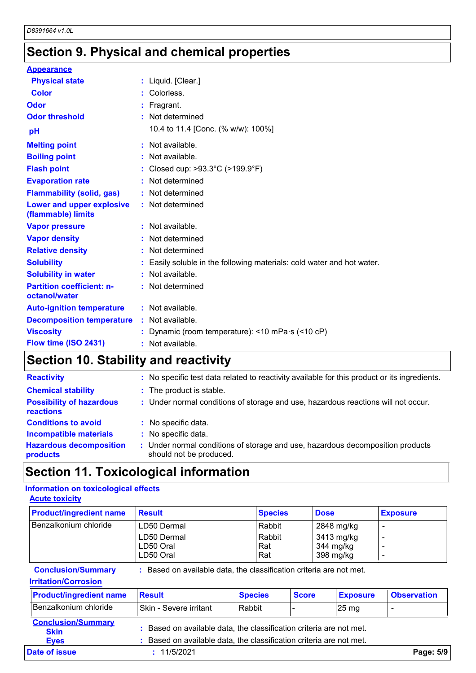## **Section 9. Physical and chemical properties**

| <b>Appearance</b>                                 |    |                                                                      |
|---------------------------------------------------|----|----------------------------------------------------------------------|
| <b>Physical state</b>                             |    | : Liquid. [Clear.]                                                   |
| Color                                             |    | Colorless.                                                           |
| Odor                                              |    | Fragrant.                                                            |
| <b>Odor threshold</b>                             |    | : Not determined                                                     |
| pH                                                |    | 10.4 to 11.4 [Conc. (% w/w): 100%]                                   |
| <b>Melting point</b>                              |    | : Not available.                                                     |
| <b>Boiling point</b>                              |    | Not available.                                                       |
| <b>Flash point</b>                                |    | Closed cup: $>93.3^{\circ}$ C ( $>199.9^{\circ}$ F)                  |
| <b>Evaporation rate</b>                           |    | Not determined                                                       |
| <b>Flammability (solid, gas)</b>                  |    | Not determined                                                       |
| Lower and upper explosive<br>(flammable) limits   |    | : Not determined                                                     |
| <b>Vapor pressure</b>                             |    | : Not available.                                                     |
| <b>Vapor density</b>                              |    | Not determined                                                       |
| <b>Relative density</b>                           |    | Not determined                                                       |
| <b>Solubility</b>                                 |    | Easily soluble in the following materials: cold water and hot water. |
| <b>Solubility in water</b>                        |    | Not available.                                                       |
| <b>Partition coefficient: n-</b><br>octanol/water |    | : Not determined                                                     |
| <b>Auto-ignition temperature</b>                  |    | : Not available.                                                     |
| <b>Decomposition temperature</b>                  |    | : Not available.                                                     |
| <b>Viscosity</b>                                  |    | Dynamic (room temperature): <10 mPa·s (<10 cP)                       |
| Flow time (ISO 2431)                              | t. | Not available.                                                       |
|                                                   |    |                                                                      |

## **Section 10. Stability and reactivity**

| <b>Reactivity</b>                            | : No specific test data related to reactivity available for this product or its ingredients.              |
|----------------------------------------------|-----------------------------------------------------------------------------------------------------------|
| <b>Chemical stability</b>                    | : The product is stable.                                                                                  |
| <b>Possibility of hazardous</b><br>reactions | : Under normal conditions of storage and use, hazardous reactions will not occur.                         |
| <b>Conditions to avoid</b>                   | : No specific data.                                                                                       |
| <b>Incompatible materials</b>                | : No specific data.                                                                                       |
| <b>Hazardous decomposition</b><br>products   | : Under normal conditions of storage and use, hazardous decomposition products<br>should not be produced. |

### **Information on toxicological effects Acute toxicity**

| Section 11. Toxicological information                         |                                                                     |                                |              |                                                    |                          |  |  |
|---------------------------------------------------------------|---------------------------------------------------------------------|--------------------------------|--------------|----------------------------------------------------|--------------------------|--|--|
| Information on toxicological effects<br><b>Acute toxicity</b> |                                                                     |                                |              |                                                    |                          |  |  |
| <b>Product/ingredient name</b>                                | <b>Result</b>                                                       | <b>Species</b>                 | <b>Dose</b>  |                                                    | <b>Exposure</b>          |  |  |
| Benzalkonium chloride                                         | LD50 Dermal<br>LD50 Dermal<br>LD50 Oral<br>LD50 Oral                | Rabbit<br>Rabbit<br>Rat<br>Rat |              | 2848 mg/kg<br>3413 mg/kg<br>344 mg/kg<br>398 mg/kg | $\overline{\phantom{a}}$ |  |  |
| <b>Conclusion/Summary</b><br><b>Irritation/Corrosion</b>      | : Based on available data, the classification criteria are not met. |                                |              |                                                    |                          |  |  |
| <b>Product/ingredient name</b>                                | <b>Result</b>                                                       | <b>Species</b>                 | <b>Score</b> | <b>Exposure</b>                                    | <b>Observation</b>       |  |  |
| Benzalkonium chloride                                         | Skin - Severe irritant                                              | Rahhit                         |              | $25 \text{ ma}$                                    |                          |  |  |

### **Irritation/Corrosion**

|                                                         |                                                                                                                                          | .              |              |                  |                          |  |
|---------------------------------------------------------|------------------------------------------------------------------------------------------------------------------------------------------|----------------|--------------|------------------|--------------------------|--|
| <b>Conclusion/Summary</b>                               | : Based on available data, the classification criteria are not met.                                                                      |                |              |                  |                          |  |
| <b>Irritation/Corrosion</b>                             |                                                                                                                                          |                |              |                  |                          |  |
| <b>Product/ingredient name</b>                          | <b>Result</b>                                                                                                                            | <b>Species</b> | <b>Score</b> | <b>Exposure</b>  | <b>Observation</b>       |  |
| Benzalkonium chloride                                   | Skin - Severe irritant                                                                                                                   | Rabbit         |              | 25 <sub>mg</sub> | $\overline{\phantom{0}}$ |  |
| <b>Conclusion/Summary</b><br><b>Skin</b><br><b>Eyes</b> | : Based on available data, the classification criteria are not met.<br>Based on available data, the classification criteria are not met. |                |              |                  |                          |  |
| Date of issue                                           | : 11/5/2021<br>Page: 5/9                                                                                                                 |                |              |                  |                          |  |
|                                                         |                                                                                                                                          |                |              |                  |                          |  |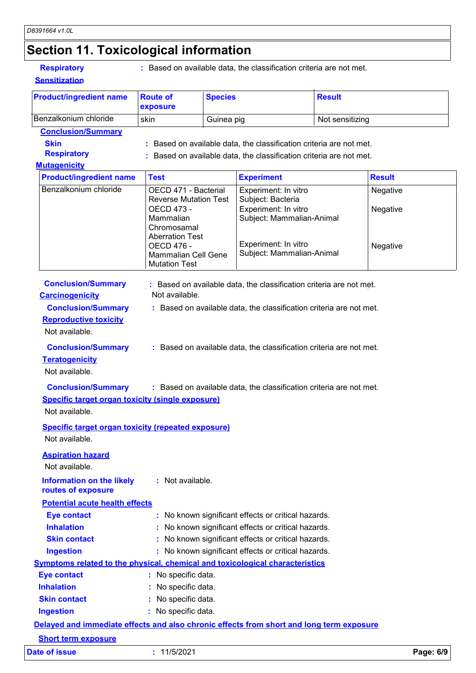| <b>Respiratory</b> |
|--------------------|
|--------------------|

| <b>Respiratory</b><br><b>Sensitization</b>                                                                                                                                                                                              |                                                                                                                          |                | : Based on available data, the classification criteria are not met.                                                                                                                                                                                                                      |                 |                      |
|-----------------------------------------------------------------------------------------------------------------------------------------------------------------------------------------------------------------------------------------|--------------------------------------------------------------------------------------------------------------------------|----------------|------------------------------------------------------------------------------------------------------------------------------------------------------------------------------------------------------------------------------------------------------------------------------------------|-----------------|----------------------|
| <b>Product/ingredient name</b>                                                                                                                                                                                                          | <b>Route of</b><br>exposure                                                                                              | <b>Species</b> |                                                                                                                                                                                                                                                                                          | <b>Result</b>   |                      |
| Benzalkonium chloride                                                                                                                                                                                                                   | skin                                                                                                                     | Guinea pig     |                                                                                                                                                                                                                                                                                          | Not sensitizing |                      |
| <b>Conclusion/Summary</b>                                                                                                                                                                                                               |                                                                                                                          |                |                                                                                                                                                                                                                                                                                          |                 |                      |
| <b>Skin</b>                                                                                                                                                                                                                             |                                                                                                                          |                | Based on available data, the classification criteria are not met.                                                                                                                                                                                                                        |                 |                      |
| <b>Respiratory</b>                                                                                                                                                                                                                      |                                                                                                                          |                | Based on available data, the classification criteria are not met.                                                                                                                                                                                                                        |                 |                      |
| <b>Mutagenicity</b>                                                                                                                                                                                                                     |                                                                                                                          |                |                                                                                                                                                                                                                                                                                          |                 |                      |
| <b>Product/ingredient name</b>                                                                                                                                                                                                          | <b>Test</b>                                                                                                              |                | <b>Experiment</b>                                                                                                                                                                                                                                                                        |                 | <b>Result</b>        |
| Benzalkonium chloride                                                                                                                                                                                                                   | OECD 471 - Bacterial<br><b>Reverse Mutation Test</b><br>OECD 473 -<br>Mammalian<br>Chromosamal<br><b>Aberration Test</b> |                | Experiment: In vitro<br>Subject: Bacteria<br>Experiment: In vitro<br>Subject: Mammalian-Animal                                                                                                                                                                                           |                 | Negative<br>Negative |
|                                                                                                                                                                                                                                         | <b>OECD 476 -</b><br>Mammalian Cell Gene<br><b>Mutation Test</b>                                                         |                | Experiment: In vitro<br>Subject: Mammalian-Animal                                                                                                                                                                                                                                        |                 | Negative             |
| <b>Conclusion/Summary</b><br><b>Carcinogenicity</b><br><b>Conclusion/Summary</b><br><b>Reproductive toxicity</b><br>Not available.<br><b>Conclusion/Summary</b><br><b>Teratogenicity</b><br>Not available.<br><b>Conclusion/Summary</b> | Not available.                                                                                                           |                | : Based on available data, the classification criteria are not met.<br>: Based on available data, the classification criteria are not met.<br>: Based on available data, the classification criteria are not met.<br>: Based on available data, the classification criteria are not met. |                 |                      |
| <b>Specific target organ toxicity (single exposure)</b><br>Not available.<br><b>Specific target organ toxicity (repeated exposure)</b><br>Not available.                                                                                |                                                                                                                          |                |                                                                                                                                                                                                                                                                                          |                 |                      |
| <b>Aspiration hazard</b><br>Not available.<br><b>Information on the likely</b>                                                                                                                                                          | : Not available.                                                                                                         |                |                                                                                                                                                                                                                                                                                          |                 |                      |
| routes of exposure                                                                                                                                                                                                                      |                                                                                                                          |                |                                                                                                                                                                                                                                                                                          |                 |                      |
| <b>Potential acute health effects</b>                                                                                                                                                                                                   |                                                                                                                          |                |                                                                                                                                                                                                                                                                                          |                 |                      |
| <b>Eye contact</b><br><b>Inhalation</b>                                                                                                                                                                                                 |                                                                                                                          |                | : No known significant effects or critical hazards.                                                                                                                                                                                                                                      |                 |                      |
|                                                                                                                                                                                                                                         | : No known significant effects or critical hazards.                                                                      |                |                                                                                                                                                                                                                                                                                          |                 |                      |
| <b>Skin contact</b>                                                                                                                                                                                                                     | : No known significant effects or critical hazards.<br>: No known significant effects or critical hazards.               |                |                                                                                                                                                                                                                                                                                          |                 |                      |
| <b>Ingestion</b>                                                                                                                                                                                                                        |                                                                                                                          |                |                                                                                                                                                                                                                                                                                          |                 |                      |
| <b>Symptoms related to the physical, chemical and toxicological characteristics</b>                                                                                                                                                     |                                                                                                                          |                |                                                                                                                                                                                                                                                                                          |                 |                      |
| <b>Eye contact</b>                                                                                                                                                                                                                      | : No specific data.                                                                                                      |                |                                                                                                                                                                                                                                                                                          |                 |                      |
| <b>Inhalation</b>                                                                                                                                                                                                                       | : No specific data.                                                                                                      |                |                                                                                                                                                                                                                                                                                          |                 |                      |
| <b>Skin contact</b>                                                                                                                                                                                                                     | : No specific data.                                                                                                      |                |                                                                                                                                                                                                                                                                                          |                 |                      |
| <b>Ingestion</b>                                                                                                                                                                                                                        | : No specific data.                                                                                                      |                |                                                                                                                                                                                                                                                                                          |                 |                      |
| Delayed and immediate effects and also chronic effects from short and long term exposure                                                                                                                                                |                                                                                                                          |                |                                                                                                                                                                                                                                                                                          |                 |                      |
| <b>Short term exposure</b>                                                                                                                                                                                                              |                                                                                                                          |                |                                                                                                                                                                                                                                                                                          |                 |                      |
| <b>Date of issue</b>                                                                                                                                                                                                                    | : 11/5/2021                                                                                                              |                |                                                                                                                                                                                                                                                                                          |                 | Page: 6/9            |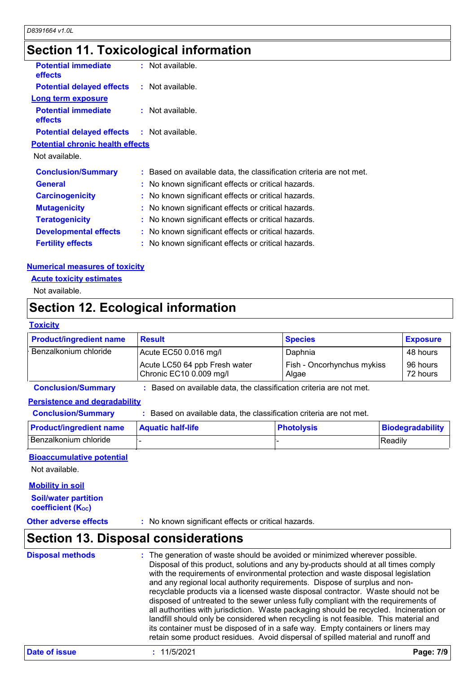## **Section 11. Toxicological information**

| <b>Potential immediate</b><br><b>effects</b>      | : Not available.                                                    |
|---------------------------------------------------|---------------------------------------------------------------------|
| <b>Potential delayed effects : Not available.</b> |                                                                     |
| <b>Long term exposure</b>                         |                                                                     |
| <b>Potential immediate</b><br><b>effects</b>      | $:$ Not available.                                                  |
| <b>Potential delayed effects : Not available.</b> |                                                                     |
| <b>Potential chronic health effects</b>           |                                                                     |
| Not available.                                    |                                                                     |
| <b>Conclusion/Summary</b>                         | : Based on available data, the classification criteria are not met. |
| <b>General</b>                                    | : No known significant effects or critical hazards.                 |
| <b>Carcinogenicity</b>                            | : No known significant effects or critical hazards.                 |
| <b>Mutagenicity</b>                               | : No known significant effects or critical hazards.                 |
| <b>Teratogenicity</b>                             | : No known significant effects or critical hazards.                 |
| <b>Developmental effects</b>                      | : No known significant effects or critical hazards.                 |
| <b>Fertility effects</b>                          | : No known significant effects or critical hazards.                 |

### **Numerical measures of toxicity**

**Acute toxicity estimates**

Not available.

## **Section 12. Ecological information**

### **Toxicity**

| <b>Product/ingredient name</b>       | <b>Result</b>                                                     | <b>Species</b>                      | <b>Exposure</b>      |  |
|--------------------------------------|-------------------------------------------------------------------|-------------------------------------|----------------------|--|
| Benzalkonium chloride                | Acute EC50 0.016 mg/l                                             | Daphnia                             | 48 hours             |  |
|                                      | Acute LC50 64 ppb Fresh water<br>Chronic EC10 0.009 mg/l          | Fish - Oncorhynchus mykiss<br>Algae | 96 hours<br>72 hours |  |
| <b>Conclusion/Summary</b>            | Based on available data, the classification criteria are not met. |                                     |                      |  |
| <b>Persistence and degradability</b> |                                                                   |                                     |                      |  |
| <b>Conclusion/Summary</b>            | Based on available data, the classification criteria are not met. |                                     |                      |  |
| <b>Droduct/ingradiant nama</b>       | <b>Dhotolysis</b><br>Aguatic half-life<br><b>Riodogradability</b> |                                     |                      |  |

### **Persistence and degradability**

**Production/Summary** : Based on available data, the classification criteria are not met.<br> **Product/ingredient name** : Based on available data, the classification criteria are not met.<br> **Product/ingredient name** Aquatic hal Benzalkonium chloride - - Readily

### **Bioaccumulative potential**

Not available.

### **Mobility in soil**

**Soil/water partition coefficient (KOC)**

**Other adverse effects** : No known significant effects or critical hazards.

## **Section 13. Disposal considerations**

| <b>Disposal methods</b> | : The generation of waste should be avoided or minimized wherever possible.<br>Disposal of this product, solutions and any by-products should at all times comply<br>with the requirements of environmental protection and waste disposal legislation<br>and any regional local authority requirements. Dispose of surplus and non-<br>recyclable products via a licensed waste disposal contractor. Waste should not be<br>disposed of untreated to the sewer unless fully compliant with the requirements of<br>all authorities with jurisdiction. Waste packaging should be recycled. Incineration or<br>landfill should only be considered when recycling is not feasible. This material and<br>its container must be disposed of in a safe way. Empty containers or liners may<br>retain some product residues. Avoid dispersal of spilled material and runoff and |
|-------------------------|-------------------------------------------------------------------------------------------------------------------------------------------------------------------------------------------------------------------------------------------------------------------------------------------------------------------------------------------------------------------------------------------------------------------------------------------------------------------------------------------------------------------------------------------------------------------------------------------------------------------------------------------------------------------------------------------------------------------------------------------------------------------------------------------------------------------------------------------------------------------------|
|-------------------------|-------------------------------------------------------------------------------------------------------------------------------------------------------------------------------------------------------------------------------------------------------------------------------------------------------------------------------------------------------------------------------------------------------------------------------------------------------------------------------------------------------------------------------------------------------------------------------------------------------------------------------------------------------------------------------------------------------------------------------------------------------------------------------------------------------------------------------------------------------------------------|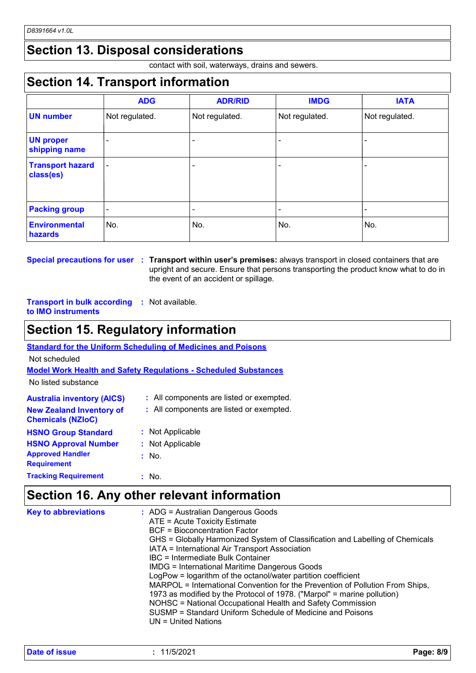## **Section 13. Disposal considerations**

contact with soil, waterways, drains and sewers.

## **Section 14. Transport information**

|                                      | <b>ADG</b>               | <b>ADR/RID</b> | <b>IMDG</b>    | <b>IATA</b>    |
|--------------------------------------|--------------------------|----------------|----------------|----------------|
| <b>UN number</b>                     | Not regulated.           | Not regulated. | Not regulated. | Not regulated. |
| <b>UN proper</b><br>shipping name    |                          |                |                |                |
| <b>Transport hazard</b><br>class(es) | $\overline{\phantom{0}}$ |                |                |                |
| <b>Packing group</b>                 | $\overline{\phantom{0}}$ |                |                |                |
| <b>Environmental</b><br>hazards      | No.                      | No.            | No.            | No.            |

**Special precautions for user Transport within user's premises:** always transport in closed containers that are **:** upright and secure. Ensure that persons transporting the product know what to do in the event of an accident or spillage.

### **Transport in bulk according :** Not available. **to IMO instruments**

## **Section 15. Regulatory information**

| <b>Standard for the Uniform Scheduling of Medicines and Poisons</b>    |                                          |  |  |  |
|------------------------------------------------------------------------|------------------------------------------|--|--|--|
| Not scheduled                                                          |                                          |  |  |  |
| <b>Model Work Health and Safety Requiations - Scheduled Substances</b> |                                          |  |  |  |
| No listed substance                                                    |                                          |  |  |  |
| <b>Australia inventory (AICS)</b>                                      | : All components are listed or exempted. |  |  |  |
| <b>New Zealand Inventory of</b><br><b>Chemicals (NZIoC)</b>            | : All components are listed or exempted. |  |  |  |
| <b>HSNO Group Standard</b>                                             | : Not Applicable                         |  |  |  |
| <b>HSNO Approval Number</b>                                            | : Not Applicable                         |  |  |  |
| <b>Approved Handler</b><br><b>Requirement</b>                          | $:$ No.                                  |  |  |  |
| <b>Tracking Requirement</b>                                            | : No.                                    |  |  |  |

## **Section 16. Any other relevant information**

| <b>Key to abbreviations</b> | : ADG = Australian Dangerous Goods<br>ATE = Acute Toxicity Estimate<br><b>BCF</b> = Bioconcentration Factor<br>GHS = Globally Harmonized System of Classification and Labelling of Chemicals<br>IATA = International Air Transport Association<br>IBC = Intermediate Bulk Container<br><b>IMDG = International Maritime Dangerous Goods</b><br>LogPow = logarithm of the octanol/water partition coefficient<br>MARPOL = International Convention for the Prevention of Pollution From Ships,<br>1973 as modified by the Protocol of 1978. ("Marpol" = marine pollution)<br>NOHSC = National Occupational Health and Safety Commission<br>SUSMP = Standard Uniform Schedule of Medicine and Poisons<br>UN = United Nations |
|-----------------------------|----------------------------------------------------------------------------------------------------------------------------------------------------------------------------------------------------------------------------------------------------------------------------------------------------------------------------------------------------------------------------------------------------------------------------------------------------------------------------------------------------------------------------------------------------------------------------------------------------------------------------------------------------------------------------------------------------------------------------|
|-----------------------------|----------------------------------------------------------------------------------------------------------------------------------------------------------------------------------------------------------------------------------------------------------------------------------------------------------------------------------------------------------------------------------------------------------------------------------------------------------------------------------------------------------------------------------------------------------------------------------------------------------------------------------------------------------------------------------------------------------------------------|